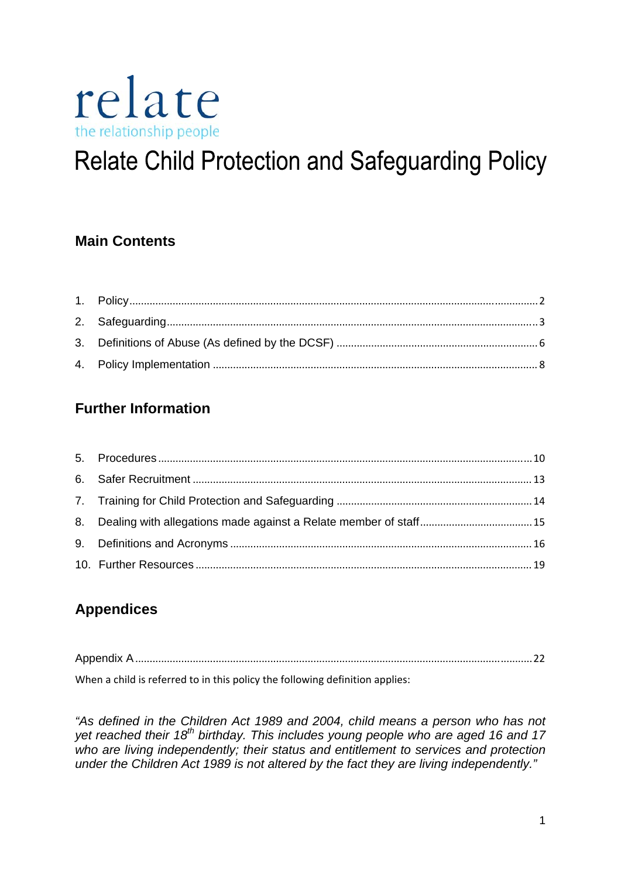

# **Relate Child Protection and Safeguarding Policy**

# **Main Contents**

# **Further Information**

| 8. Dealing with allegations made against a Relate member of staff15 |  |
|---------------------------------------------------------------------|--|
|                                                                     |  |
|                                                                     |  |

# **Appendices**

| . |  |  | $\sim$ |  |  |  |
|---|--|--|--------|--|--|--|

When a child is referred to in this policy the following definition applies:

*"As defined in the Children Act 1989 and 2004, child means a person who has not yet reached their 18th birthday. This includes young people who are aged 16 and 17 who are living independently; their status and entitlement to services and protection under the Children Act 1989 is not altered by the fact they are living independently."*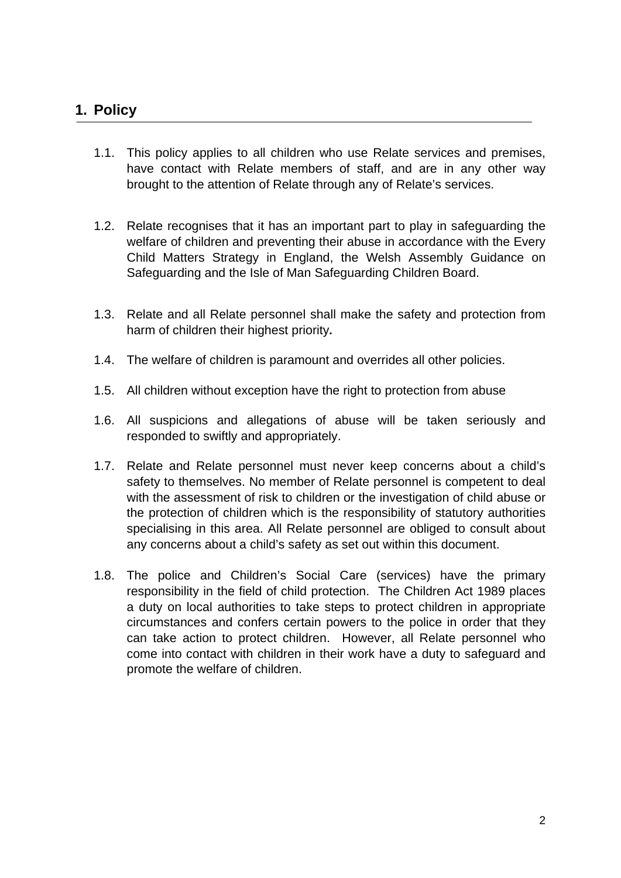# <span id="page-1-0"></span>**1. Policy**

- 1.1. This policy applies to all children who use Relate services and premises, have contact with Relate members of staff, and are in any other way brought to the attention of Relate through any of Relate's services.
- 1.2. Relate recognises that it has an important part to play in safeguarding the welfare of children and preventing their abuse in accordance with the Every Child Matters Strategy in England, the Welsh Assembly Guidance on Safeguarding and the Isle of Man Safeguarding Children Board.
- 1.3. Relate and all Relate personnel shall make the safety and protection from harm of children their highest priority**.**
- 1.4. The welfare of children is paramount and overrides all other policies.
- 1.5. All children without exception have the right to protection from abuse
- 1.6. All suspicions and allegations of abuse will be taken seriously and responded to swiftly and appropriately.
- 1.7. Relate and Relate personnel must never keep concerns about a child's safety to themselves. No member of Relate personnel is competent to deal with the assessment of risk to children or the investigation of child abuse or the protection of children which is the responsibility of statutory authorities specialising in this area. All Relate personnel are obliged to consult about any concerns about a child's safety as set out within this document.
- 1.8. The police and Children's Social Care (services) have the primary responsibility in the field of child protection. The Children Act 1989 places a duty on local authorities to take steps to protect children in appropriate circumstances and confers certain powers to the police in order that they can take action to protect children. However, all Relate personnel who come into contact with children in their work have a duty to safeguard and promote the welfare of children.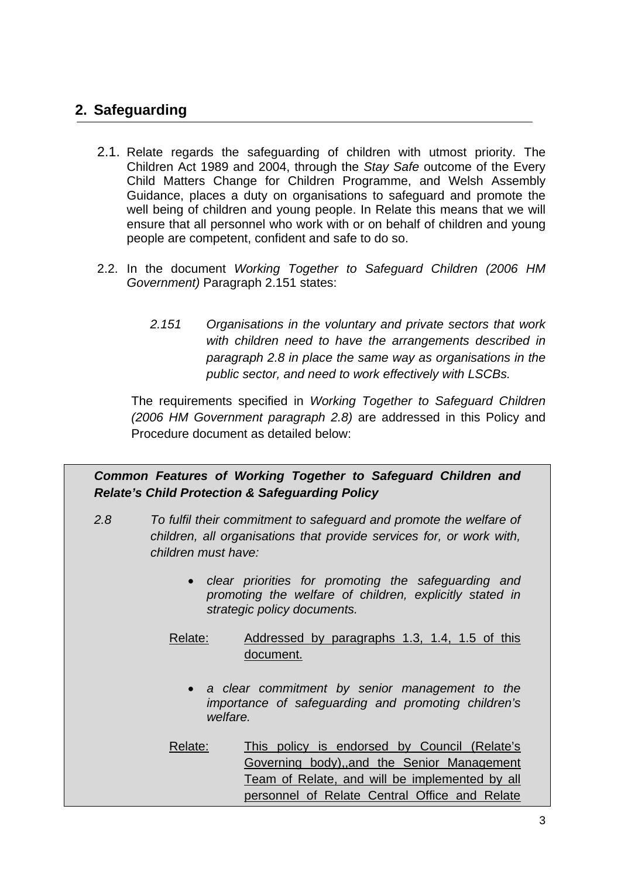# <span id="page-2-0"></span>**2. Safeguarding**

- 2.1. Relate regards the safeguarding of children with utmost priority. The Children Act 1989 and 2004, through the *Stay Safe* outcome of the Every Child Matters Change for Children Programme, and Welsh Assembly Guidance, places a duty on organisations to safeguard and promote the well being of children and young people. In Relate this means that we will ensure that all personnel who work with or on behalf of children and young people are competent, confident and safe to do so.
- 2.2. In the document *Working Together to Safeguard Children (2006 HM Government)* Paragraph 2.151 states:
	- *2.151 Organisations in the voluntary and private sectors that work with children need to have the arrangements described in paragraph 2.8 in place the same way as organisations in the public sector, and need to work effectively with LSCBs.*

The requirements specified in *Working Together to Safeguard Children (2006 HM Government paragraph 2.8)* are addressed in this Policy and Procedure document as detailed below:

*Common Features of Working Together to Safeguard Children and Relate's Child Protection & Safeguarding Policy* 

- *2.8 To fulfil their commitment to safeguard and promote the welfare of children, all organisations that provide services for, or work with, children must have:* 
	- *clear priorities for promoting the safeguarding and promoting the welfare of children, explicitly stated in strategic policy documents.*
	- Relate: Addressed by paragraphs 1.3, 1.4, 1.5 of this document.
		- *a clear commitment by senior management to the importance of safeguarding and promoting children's welfare.*
	- Relate: This policy is endorsed by Council (Relate's Governing body),,and the Senior Management Team of Relate, and will be implemented by all personnel of Relate Central Office and Relate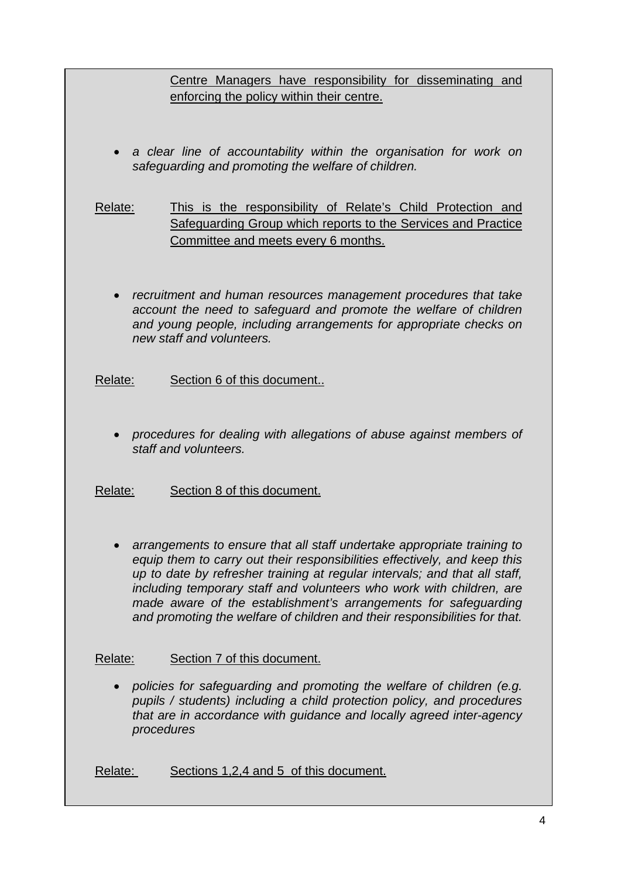Centre Managers have responsibility for disseminating and enforcing the policy within their centre.

• *a clear line of accountability within the organisation for work on safeguarding and promoting the welfare of children.* 

Relate: This is the responsibility of Relate's Child Protection and Safeguarding Group which reports to the Services and Practice Committee and meets every 6 months.

• *recruitment and human resources management procedures that take account the need to safeguard and promote the welfare of children and young people, including arrangements for appropriate checks on new staff and volunteers.* 

Relate: Section 6 of this document..

• *procedures for dealing with allegations of abuse against members of staff and volunteers.*

Relate: Section 8 of this document.

• *arrangements to ensure that all staff undertake appropriate training to equip them to carry out their responsibilities effectively, and keep this up to date by refresher training at regular intervals; and that all staff, including temporary staff and volunteers who work with children, are made aware of the establishment's arrangements for safeguarding and promoting the welfare of children and their responsibilities for that.*

## Relate: Section 7 of this document.

• *policies for safeguarding and promoting the welfare of children (e.g. pupils / students) including a child protection policy, and procedures that are in accordance with guidance and locally agreed inter-agency procedures* 

Relate: Sections 1,2,4 and 5 of this document.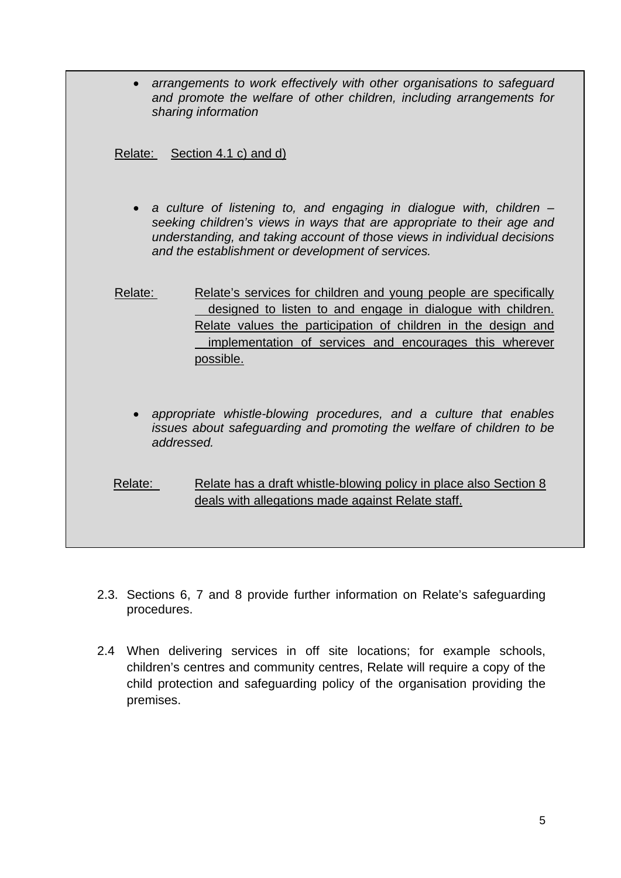• *arrangements to work effectively with other organisations to safeguard and promote the welfare of other children, including arrangements for sharing information*

Relate: Section 4.1 c) and d)

- a culture of listening to, and engaging in dialogue with, children *seeking children's views in ways that are appropriate to their age and understanding, and taking account of those views in individual decisions and the establishment or development of services.*
- Relate: Relate's services for children and young people are specifically designed to listen to and engage in dialogue with children. Relate values the participation of children in the design and implementation of services and encourages this wherever possible.
	- *appropriate whistle-blowing procedures, and a culture that enables issues about safeguarding and promoting the welfare of children to be addressed.*
- Relate: Relate has a draft whistle-blowing policy in place also Section 8 deals with allegations made against Relate staff.
- 2.3. Sections 6, 7 and 8 provide further information on Relate's safeguarding procedures.
- 2.4 When delivering services in off site locations; for example schools, children's centres and community centres, Relate will require a copy of the child protection and safeguarding policy of the organisation providing the premises.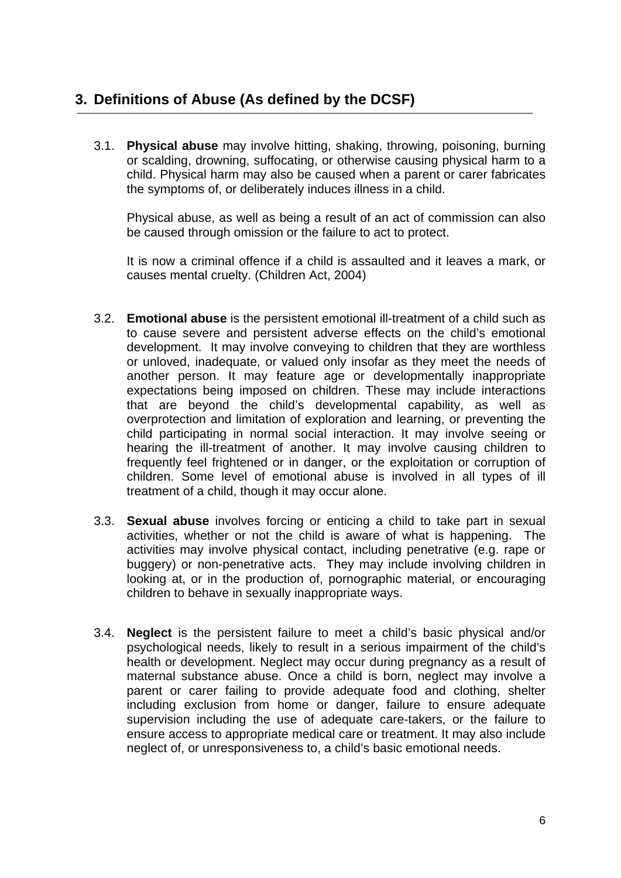<span id="page-5-0"></span>3.1. **Physical abuse** may involve hitting, shaking, throwing, poisoning, burning or scalding, drowning, suffocating, or otherwise causing physical harm to a child. Physical harm may also be caused when a parent or carer fabricates the symptoms of, or deliberately induces illness in a child.

Physical abuse, as well as being a result of an act of commission can also be caused through omission or the failure to act to protect.

It is now a criminal offence if a child is assaulted and it leaves a mark, or causes mental cruelty. (Children Act, 2004)

- 3.2. **Emotional abuse** is the persistent emotional ill-treatment of a child such as to cause severe and persistent adverse effects on the child's emotional development. It may involve conveying to children that they are worthless or unloved, inadequate, or valued only insofar as they meet the needs of another person. It may feature age or developmentally inappropriate expectations being imposed on children. These may include interactions that are beyond the child's developmental capability, as well as overprotection and limitation of exploration and learning, or preventing the child participating in normal social interaction. It may involve seeing or hearing the ill-treatment of another. It may involve causing children to frequently feel frightened or in danger, or the exploitation or corruption of children. Some level of emotional abuse is involved in all types of ill treatment of a child, though it may occur alone.
- 3.3. **Sexual abuse** involves forcing or enticing a child to take part in sexual activities, whether or not the child is aware of what is happening. The activities may involve physical contact, including penetrative (e.g. rape or buggery) or non-penetrative acts. They may include involving children in looking at, or in the production of, pornographic material, or encouraging children to behave in sexually inappropriate ways.
- 3.4. **Neglect** is the persistent failure to meet a child's basic physical and/or psychological needs, likely to result in a serious impairment of the child's health or development. Neglect may occur during pregnancy as a result of maternal substance abuse. Once a child is born, neglect may involve a parent or carer failing to provide adequate food and clothing, shelter including exclusion from home or danger, failure to ensure adequate supervision including the use of adequate care-takers, or the failure to ensure access to appropriate medical care or treatment. It may also include neglect of, or unresponsiveness to, a child's basic emotional needs.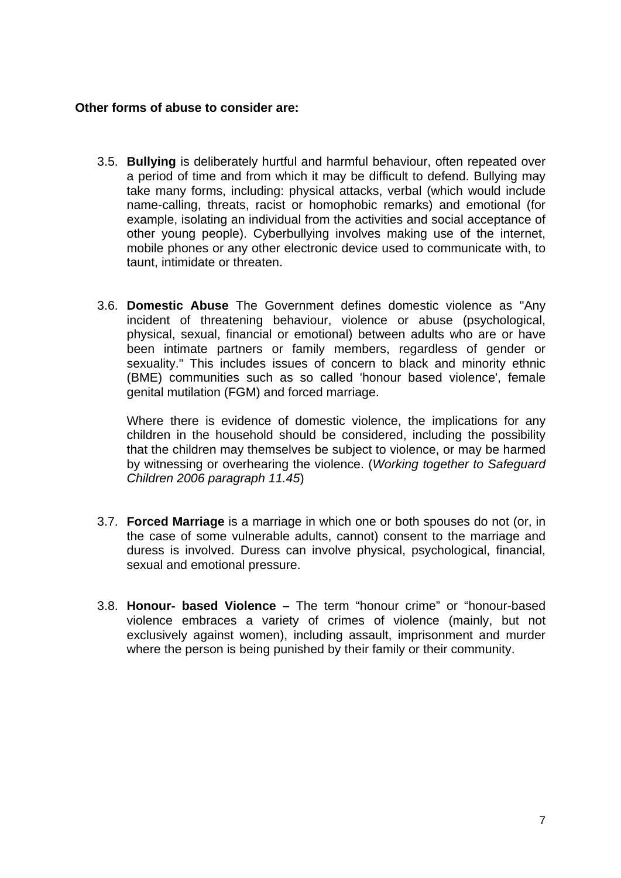## **Other forms of abuse to consider are:**

- 3.5. **Bullying** is deliberately hurtful and harmful behaviour, often repeated over a period of time and from which it may be difficult to defend. Bullying may take many forms, including: physical attacks, verbal (which would include name-calling, threats, racist or homophobic remarks) and emotional (for example, isolating an individual from the activities and social acceptance of other young people). Cyberbullying involves making use of the internet, mobile phones or any other electronic device used to communicate with, to taunt, intimidate or threaten.
- 3.6. **Domestic Abuse** The Government defines domestic violence as "Any incident of threatening behaviour, violence or abuse (psychological, physical, sexual, financial or emotional) between adults who are or have been intimate partners or family members, regardless of gender or sexuality." This includes issues of concern to black and minority ethnic (BME) communities such as so called 'honour based violence', female genital mutilation (FGM) and forced marriage.

Where there is evidence of domestic violence, the implications for any children in the household should be considered, including the possibility that the children may themselves be subject to violence, or may be harmed by witnessing or overhearing the violence. (*Working together to Safeguard Children 2006 paragraph 11.45*)

- 3.7. **Forced Marriage** is a marriage in which one or both spouses do not (or, in the case of some vulnerable adults, cannot) consent to the marriage and duress is involved. Duress can involve physical, psychological, financial, sexual and emotional pressure.
- 3.8. **Honour- based Violence** The term "honour crime" or "honour-based violence embraces a variety of crimes of violence (mainly, but not exclusively against women), including assault, imprisonment and murder where the person is being punished by their family or their community.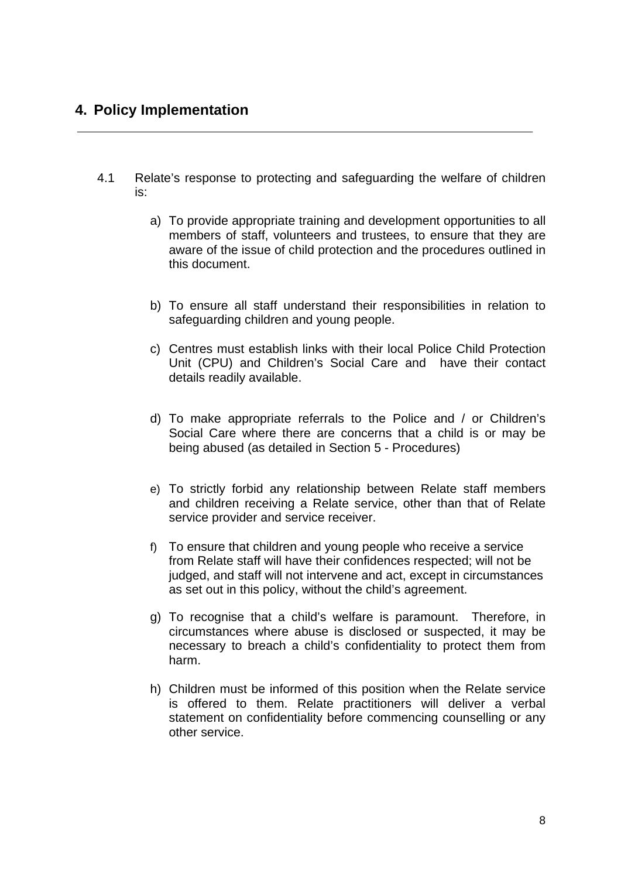## <span id="page-7-0"></span>**4. Policy Implementation**

- 4.1 Relate's response to protecting and safeguarding the welfare of children is:
	- a) To provide appropriate training and development opportunities to all members of staff, volunteers and trustees, to ensure that they are aware of the issue of child protection and the procedures outlined in this document.
	- b) To ensure all staff understand their responsibilities in relation to safeguarding children and young people.
	- c) Centres must establish links with their local Police Child Protection Unit (CPU) and Children's Social Care and have their contact details readily available.
	- d) To make appropriate referrals to the Police and / or Children's Social Care where there are concerns that a child is or may be being abused (as detailed in Section 5 - Procedures)
	- e) To strictly forbid any relationship between Relate staff members and children receiving a Relate service, other than that of Relate service provider and service receiver.
	- f) To ensure that children and young people who receive a service from Relate staff will have their confidences respected; will not be judged, and staff will not intervene and act, except in circumstances as set out in this policy, without the child's agreement.
	- g) To recognise that a child's welfare is paramount. Therefore, in circumstances where abuse is disclosed or suspected, it may be necessary to breach a child's confidentiality to protect them from harm.
	- h) Children must be informed of this position when the Relate service is offered to them. Relate practitioners will deliver a verbal statement on confidentiality before commencing counselling or any other service.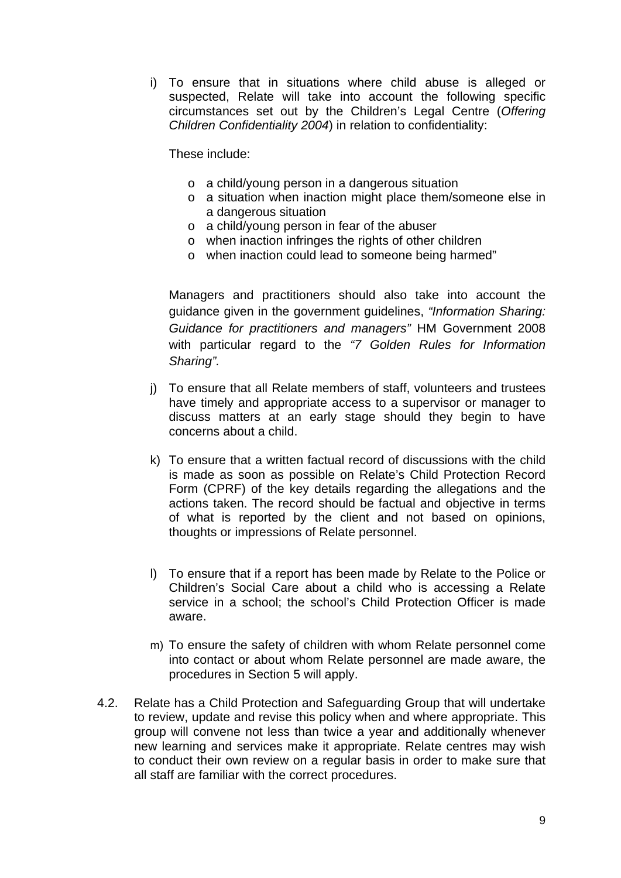i) To ensure that in situations where child abuse is alleged or suspected, Relate will take into account the following specific circumstances set out by the Children's Legal Centre (*Offering Children Confidentiality 2004*) in relation to confidentiality:

These include:

- o a child/young person in a dangerous situation
- o a situation when inaction might place them/someone else in a dangerous situation
- o a child/young person in fear of the abuser
- o when inaction infringes the rights of other children
- o when inaction could lead to someone being harmed"

Managers and practitioners should also take into account the guidance given in the government guidelines, *"Information Sharing: Guidance for practitioners and managers"* HM Government 2008 with particular regard to the *"7 Golden Rules for Information Sharing".* 

- j) To ensure that all Relate members of staff, volunteers and trustees have timely and appropriate access to a supervisor or manager to discuss matters at an early stage should they begin to have concerns about a child.
- k) To ensure that a written factual record of discussions with the child is made as soon as possible on Relate's Child Protection Record Form (CPRF) of the key details regarding the allegations and the actions taken. The record should be factual and objective in terms of what is reported by the client and not based on opinions, thoughts or impressions of Relate personnel.
- l) To ensure that if a report has been made by Relate to the Police or Children's Social Care about a child who is accessing a Relate service in a school; the school's Child Protection Officer is made aware.
- m) To ensure the safety of children with whom Relate personnel come into contact or about whom Relate personnel are made aware, the procedures in Section 5 will apply.
- 4.2. Relate has a Child Protection and Safeguarding Group that will undertake to review, update and revise this policy when and where appropriate. This group will convene not less than twice a year and additionally whenever new learning and services make it appropriate. Relate centres may wish to conduct their own review on a regular basis in order to make sure that all staff are familiar with the correct procedures.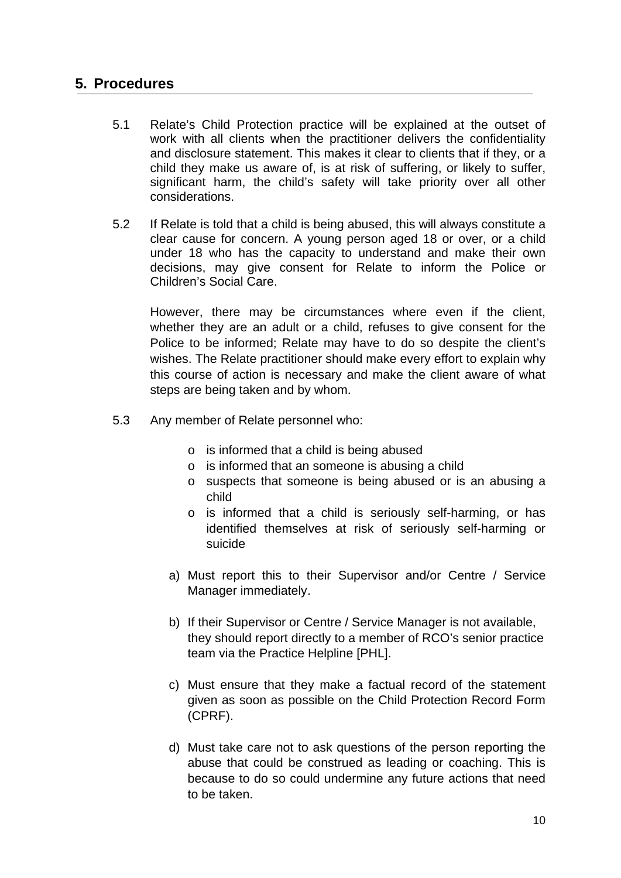## <span id="page-9-0"></span>**5. Procedures**

- 5.1 Relate's Child Protection practice will be explained at the outset of work with all clients when the practitioner delivers the confidentiality and disclosure statement. This makes it clear to clients that if they, or a child they make us aware of, is at risk of suffering, or likely to suffer, significant harm, the child's safety will take priority over all other considerations.
- 5.2 If Relate is told that a child is being abused, this will always constitute a clear cause for concern. A young person aged 18 or over, or a child under 18 who has the capacity to understand and make their own decisions, may give consent for Relate to inform the Police or Children's Social Care.

However, there may be circumstances where even if the client, whether they are an adult or a child, refuses to give consent for the Police to be informed; Relate may have to do so despite the client's wishes. The Relate practitioner should make every effort to explain why this course of action is necessary and make the client aware of what steps are being taken and by whom.

- 5.3 Any member of Relate personnel who:
	- o is informed that a child is being abused
	- o is informed that an someone is abusing a child
	- o suspects that someone is being abused or is an abusing a child
	- o is informed that a child is seriously self-harming, or has identified themselves at risk of seriously self-harming or suicide
	- a) Must report this to their Supervisor and/or Centre / Service Manager immediately.
	- b) If their Supervisor or Centre / Service Manager is not available, they should report directly to a member of RCO's senior practice team via the Practice Helpline [PHL].
	- c) Must ensure that they make a factual record of the statement given as soon as possible on the Child Protection Record Form (CPRF).
	- d) Must take care not to ask questions of the person reporting the abuse that could be construed as leading or coaching. This is because to do so could undermine any future actions that need to be taken.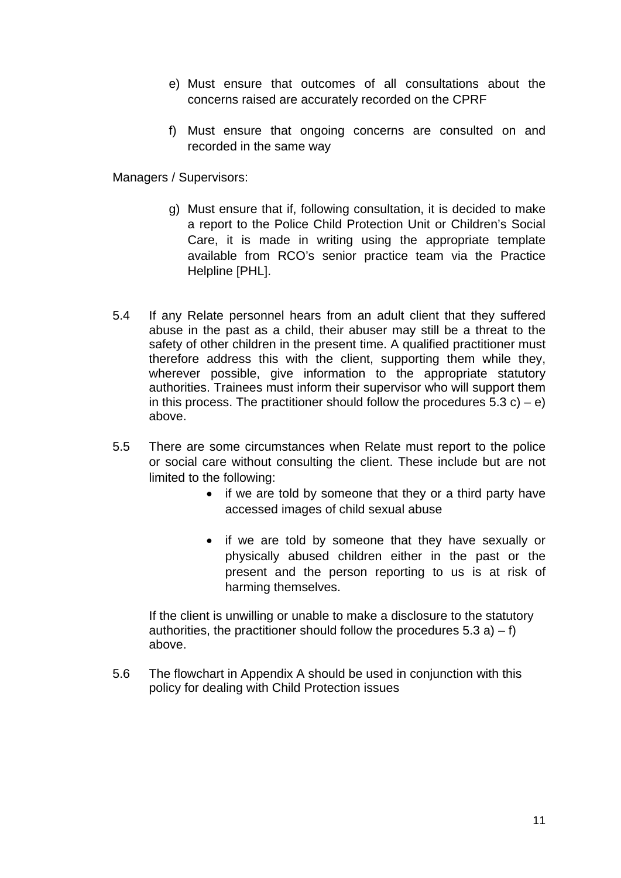- e) Must ensure that outcomes of all consultations about the concerns raised are accurately recorded on the CPRF
- f) Must ensure that ongoing concerns are consulted on and recorded in the same way

Managers / Supervisors:

- g) Must ensure that if, following consultation, it is decided to make a report to the Police Child Protection Unit or Children's Social Care, it is made in writing using the appropriate template available from RCO's senior practice team via the Practice Helpline [PHL].
- 5.4 If any Relate personnel hears from an adult client that they suffered abuse in the past as a child, their abuser may still be a threat to the safety of other children in the present time. A qualified practitioner must therefore address this with the client, supporting them while they, wherever possible, give information to the appropriate statutory authorities. Trainees must inform their supervisor who will support them in this process. The practitioner should follow the procedures  $5.3 c$ ) – e) above.
- 5.5 There are some circumstances when Relate must report to the police or social care without consulting the client. These include but are not limited to the following:
	- if we are told by someone that they or a third party have accessed images of child sexual abuse
	- if we are told by someone that they have sexually or physically abused children either in the past or the present and the person reporting to us is at risk of harming themselves.

If the client is unwilling or unable to make a disclosure to the statutory authorities, the practitioner should follow the procedures  $5.3$  a)  $- f$ ) above.

5.6 The flowchart in Appendix A should be used in conjunction with this policy for dealing with Child Protection issues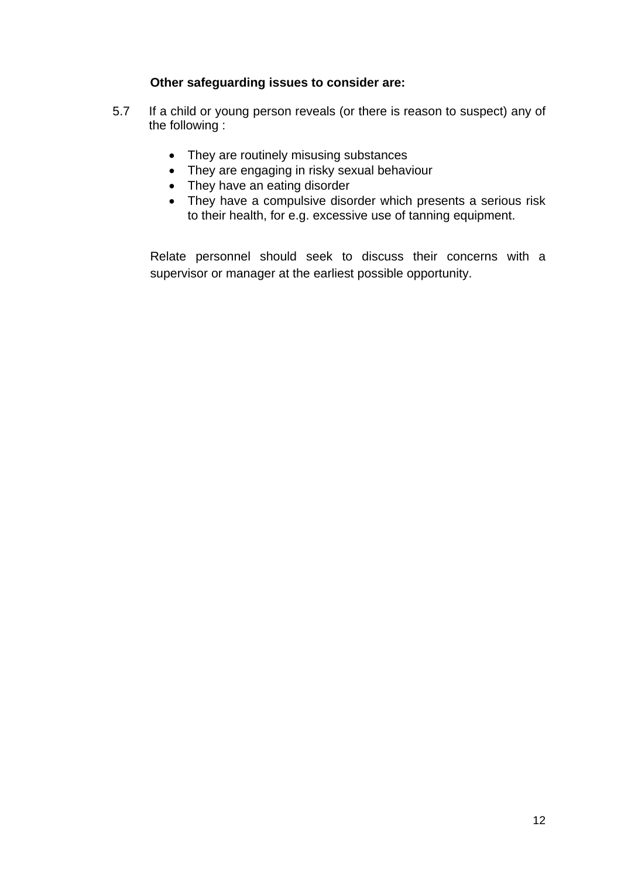## **Other safeguarding issues to consider are:**

- 5.7 If a child or young person reveals (or there is reason to suspect) any of the following :
	- They are routinely misusing substances
	- They are engaging in risky sexual behaviour
	- They have an eating disorder
	- They have a compulsive disorder which presents a serious risk to their health, for e.g. excessive use of tanning equipment.

Relate personnel should seek to discuss their concerns with a supervisor or manager at the earliest possible opportunity.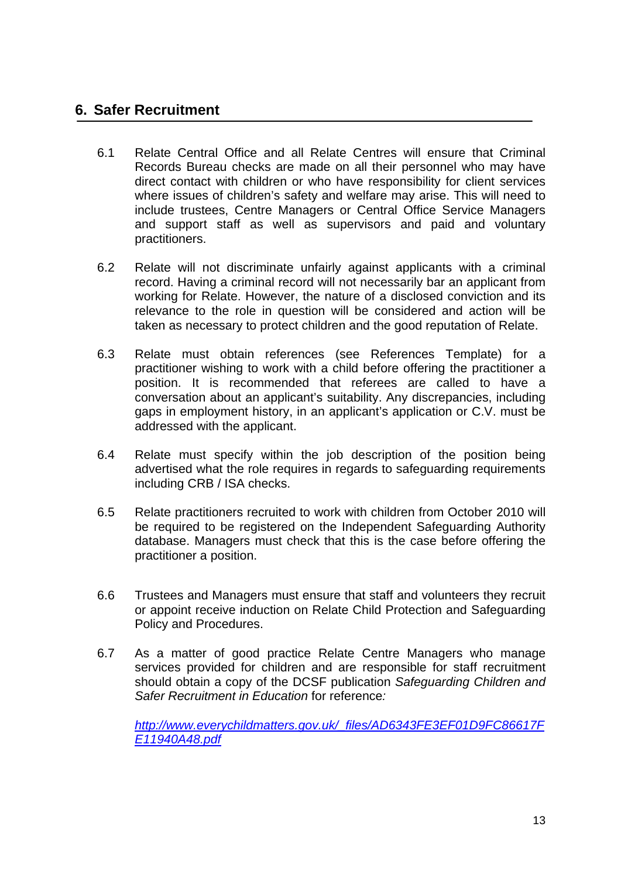## <span id="page-12-0"></span>**6. Safer Recruitment**

- 6.1 Relate Central Office and all Relate Centres will ensure that Criminal Records Bureau checks are made on all their personnel who may have direct contact with children or who have responsibility for client services where issues of children's safety and welfare may arise. This will need to include trustees, Centre Managers or Central Office Service Managers and support staff as well as supervisors and paid and voluntary practitioners.
- 6.2 Relate will not discriminate unfairly against applicants with a criminal record. Having a criminal record will not necessarily bar an applicant from working for Relate. However, the nature of a disclosed conviction and its relevance to the role in question will be considered and action will be taken as necessary to protect children and the good reputation of Relate.
- 6.3 Relate must obtain references (see References Template) for a practitioner wishing to work with a child before offering the practitioner a position. It is recommended that referees are called to have a conversation about an applicant's suitability. Any discrepancies, including gaps in employment history, in an applicant's application or C.V. must be addressed with the applicant.
- 6.4 Relate must specify within the job description of the position being advertised what the role requires in regards to safeguarding requirements including CRB / ISA checks.
- 6.5 Relate practitioners recruited to work with children from October 2010 will be required to be registered on the Independent Safeguarding Authority database. Managers must check that this is the case before offering the practitioner a position.
- 6.6 Trustees and Managers must ensure that staff and volunteers they recruit or appoint receive induction on Relate Child Protection and Safeguarding Policy and Procedures.
- 6.7 As a matter of good practice Relate Centre Managers who manage services provided for children and are responsible for staff recruitment should obtain a copy of the DCSF publication *Safeguarding Children and Safer Recruitment in Education* for reference*:*

*[http://www.everychildmatters.gov.uk/\\_files/AD6343FE3EF01D9FC86617F](http://www.everychildmatters.gov.uk/_files/AD6343FE3EF01D9FC86617FE11940A48.pdf) [E11940A48.pdf](http://www.everychildmatters.gov.uk/_files/AD6343FE3EF01D9FC86617FE11940A48.pdf)*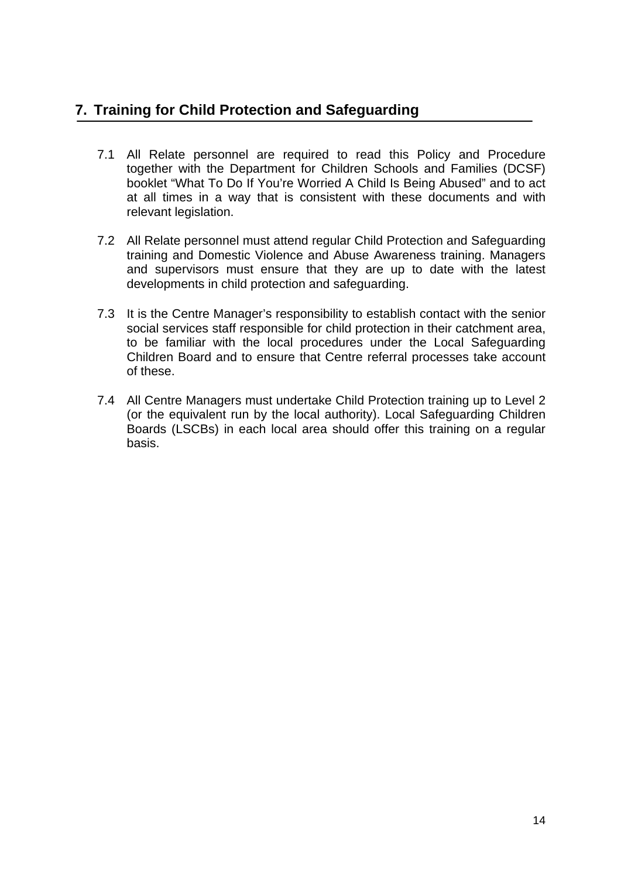# <span id="page-13-0"></span>**7. Training for Child Protection and Safeguarding**

- 7.1 All Relate personnel are required to read this Policy and Procedure together with the Department for Children Schools and Families (DCSF) booklet "What To Do If You're Worried A Child Is Being Abused" and to act at all times in a way that is consistent with these documents and with relevant legislation.
- 7.2 All Relate personnel must attend regular Child Protection and Safeguarding training and Domestic Violence and Abuse Awareness training. Managers and supervisors must ensure that they are up to date with the latest developments in child protection and safeguarding.
- 7.3 It is the Centre Manager's responsibility to establish contact with the senior social services staff responsible for child protection in their catchment area, to be familiar with the local procedures under the Local Safeguarding Children Board and to ensure that Centre referral processes take account of these.
- 7.4 All Centre Managers must undertake Child Protection training up to Level 2 (or the equivalent run by the local authority). Local Safeguarding Children Boards (LSCBs) in each local area should offer this training on a regular basis.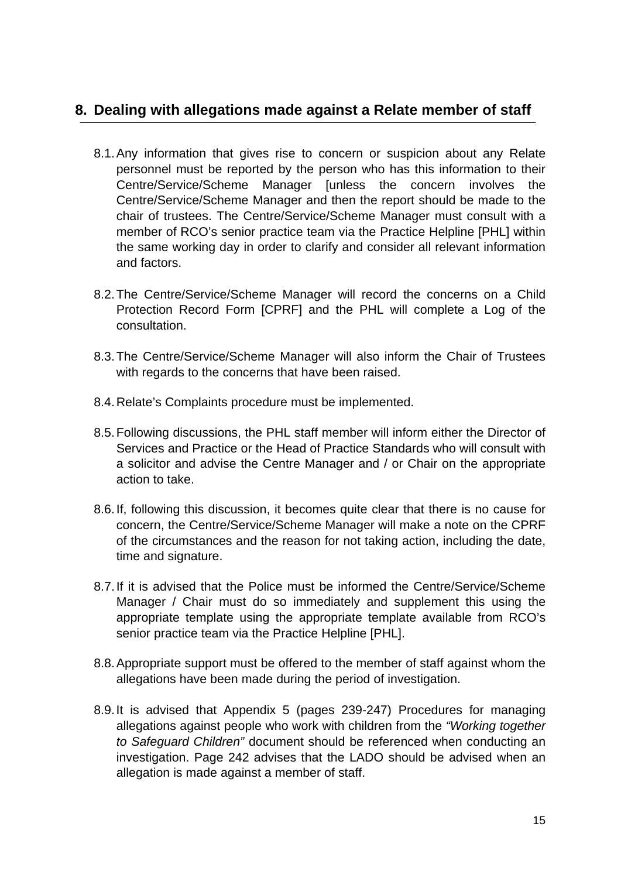## <span id="page-14-0"></span>**8. Dealing with allegations made against a Relate member of staff**

- 8.1. Any information that gives rise to concern or suspicion about any Relate personnel must be reported by the person who has this information to their Centre/Service/Scheme Manager [unless the concern involves the Centre/Service/Scheme Manager and then the report should be made to the chair of trustees. The Centre/Service/Scheme Manager must consult with a member of RCO's senior practice team via the Practice Helpline [PHL] within the same working day in order to clarify and consider all relevant information and factors.
- 8.2. The Centre/Service/Scheme Manager will record the concerns on a Child Protection Record Form [CPRF] and the PHL will complete a Log of the consultation.
- 8.3. The Centre/Service/Scheme Manager will also inform the Chair of Trustees with regards to the concerns that have been raised.
- 8.4. Relate's Complaints procedure must be implemented.
- 8.5. Following discussions, the PHL staff member will inform either the Director of Services and Practice or the Head of Practice Standards who will consult with a solicitor and advise the Centre Manager and / or Chair on the appropriate action to take.
- 8.6. If, following this discussion, it becomes quite clear that there is no cause for concern, the Centre/Service/Scheme Manager will make a note on the CPRF of the circumstances and the reason for not taking action, including the date, time and signature.
- 8.7. If it is advised that the Police must be informed the Centre/Service/Scheme Manager / Chair must do so immediately and supplement this using the appropriate template using the appropriate template available from RCO's senior practice team via the Practice Helpline [PHL].
- 8.8. Appropriate support must be offered to the member of staff against whom the allegations have been made during the period of investigation.
- 8.9. It is advised that Appendix 5 (pages 239-247) Procedures for managing allegations against people who work with children from the *"Working together to Safeguard Children"* document should be referenced when conducting an investigation. Page 242 advises that the LADO should be advised when an allegation is made against a member of staff.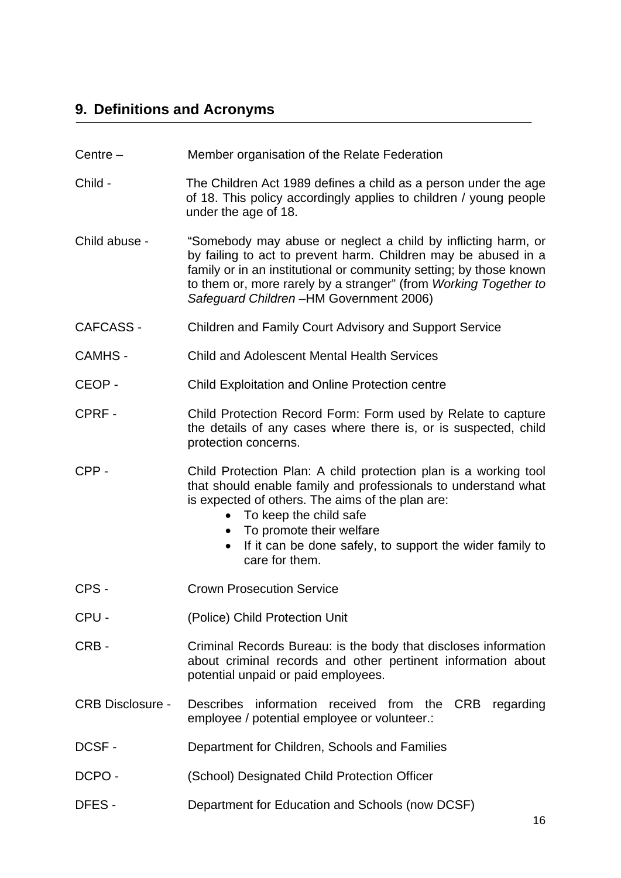# <span id="page-15-0"></span>**9. Definitions and Acronyms**

- Centre Member organisation of the Relate Federation
- Child The Children Act 1989 defines a child as a person under the age of 18. This policy accordingly applies to children / young people under the age of 18.
- Child abuse "Somebody may abuse or neglect a child by inflicting harm, or by failing to act to prevent harm. Children may be abused in a family or in an institutional or community setting; by those known to them or, more rarely by a stranger" (from *Working Together to Safeguard Children –*HM Government 2006)
- CAFCASS Children and Family Court Advisory and Support Service
- CAMHS Child and Adolescent Mental Health Services
- CEOP Child Exploitation and Online Protection centre
- CPRF Child Protection Record Form: Form used by Relate to capture the details of any cases where there is, or is suspected, child protection concerns.
- CPP Child Protection Plan: A child protection plan is a working tool that should enable family and professionals to understand what is expected of others. The aims of the plan are:
	- To keep the child safe
	- To promote their welfare
	- If it can be done safely, to support the wider family to care for them.
- CPS Crown Prosecution Service
- CPU (Police) Child Protection Unit
- CRB Criminal Records Bureau: is the body that discloses information about criminal records and other pertinent information about potential unpaid or paid employees.
- CRB Disclosure Describes information received from the CRB regarding employee / potential employee or volunteer.:
- DCSF Department for Children, Schools and Families
- DCPO (School) Designated Child Protection Officer
- DFES Department for Education and Schools (now DCSF)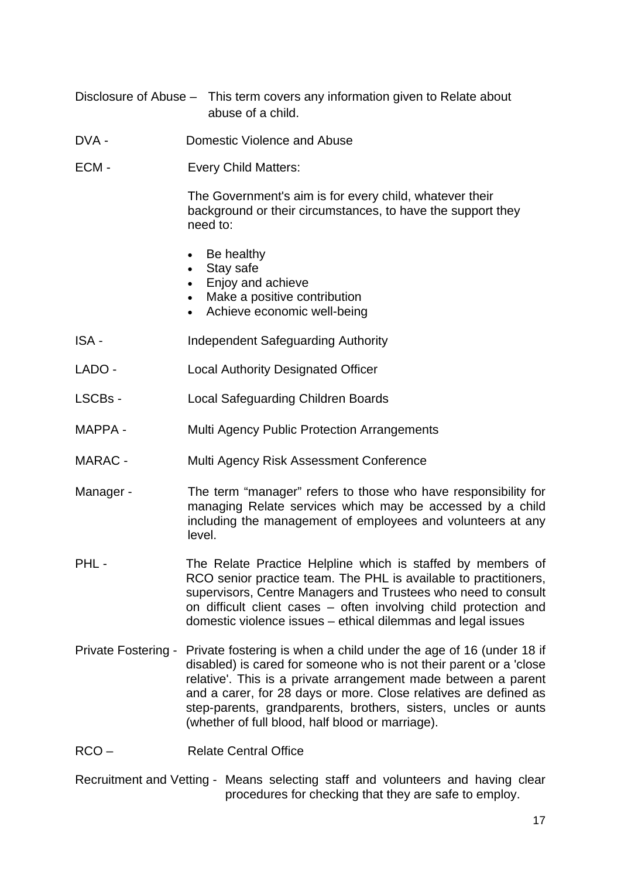- Disclosure of Abuse This term covers any information given to Relate about abuse of a child.
- DVA Domestic Violence and Abuse
- ECM Every Child Matters:

The Government's aim is for every child, whatever their background or their circumstances, to have the support they need to:

- Be healthy
- Stay safe
- Enjoy and achieve
- Make a positive contribution
- Achieve economic well-being
- ISA Independent Safeguarding Authority
- LADO Local Authority Designated Officer
- LSCBs Local Safeguarding Children Boards
- MAPPA Multi Agency Public Protection Arrangements
- MARAC Multi Agency Risk Assessment Conference
- Manager The term "manager" refers to those who have responsibility for managing Relate services which may be accessed by a child including the management of employees and volunteers at any level.
- PHL The Relate Practice Helpline which is staffed by members of RCO senior practice team. The PHL is available to practitioners, supervisors, Centre Managers and Trustees who need to consult on difficult client cases – often involving child protection and domestic violence issues – ethical dilemmas and legal issues
- Private Fostering Private fostering is when a child under the age of 16 (under 18 if disabled) is cared for someone who is not their parent or a 'close relative'. This is a private arrangement made between a parent and a carer, for 28 days or more. Close relatives are defined as step-parents, grandparents, brothers, sisters, uncles or aunts (whether of full blood, half blood or marriage).
- RCO Relate Central Office
- Recruitment and Vetting Means selecting staff and volunteers and having clear procedures for checking that they are safe to employ.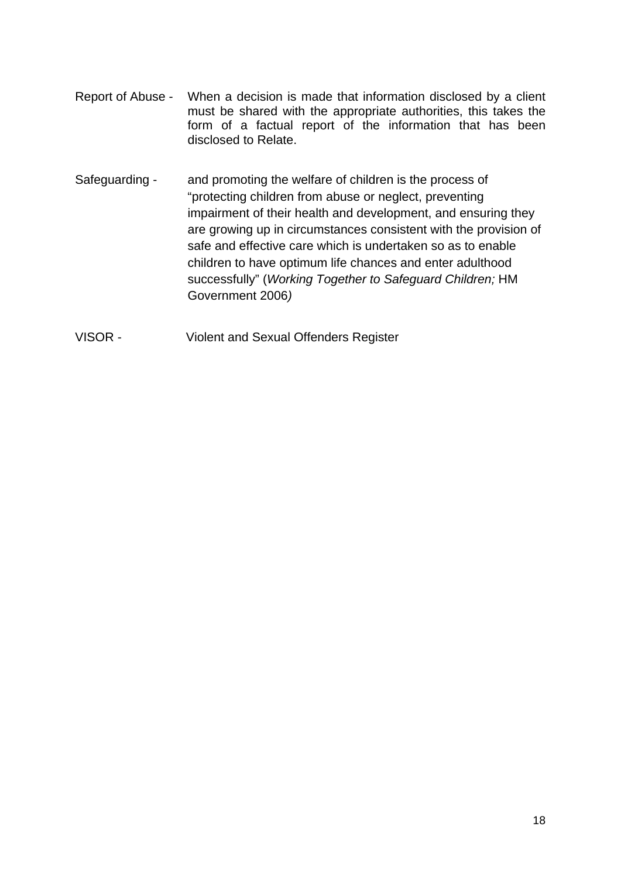- Report of Abuse When a decision is made that information disclosed by a client must be shared with the appropriate authorities, this takes the form of a factual report of the information that has been disclosed to Relate.
- Safeguarding and promoting the welfare of children is the process of "protecting children from abuse or neglect, preventing impairment of their health and development, and ensuring they are growing up in circumstances consistent with the provision of safe and effective care which is undertaken so as to enable children to have optimum life chances and enter adulthood successfully" (*Working Together to Safeguard Children;* HM Government 2006*)*
- VISOR Violent and Sexual Offenders Register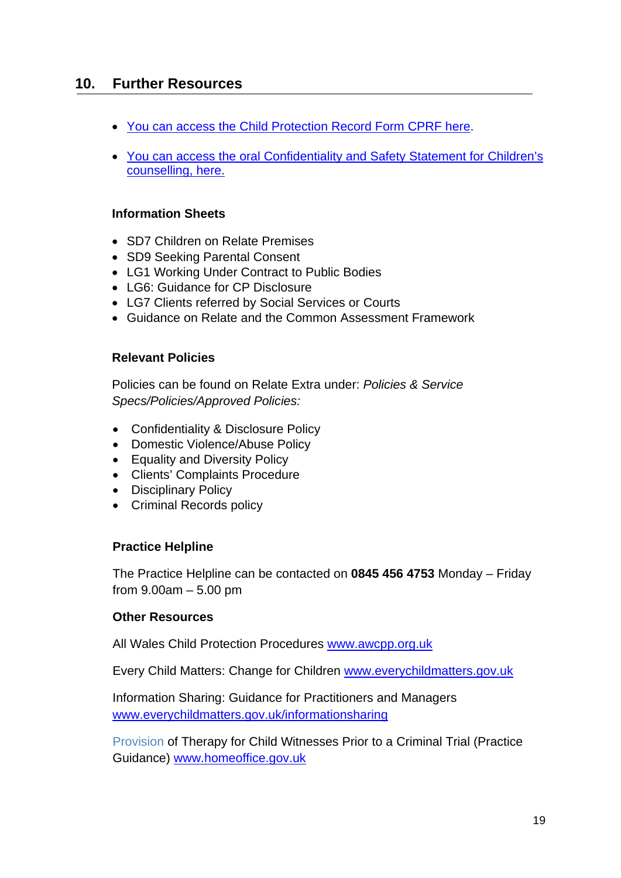## <span id="page-18-0"></span>**10. Further Resources**

- You can access the Child Protection Record Form CPRF her[e.](http://www.relateextra.org.uk/Download.asp?path=/Documents/New_Documents/Good+Practice+Guidance/Public+protection+Complaints+Ethics/Child+protection/Child+Protection+Record+Form.doc)
- You can access the oral Confidentiality and Safety Statement for Children's counselling, here.

## **Information Sheets**

- SD7 Children on Relate Premises
- SD9 Seeking Parental Consent
- LG1 Working Under Contract to Public Bodies
- LG6: Guidance for CP Disclosure
- LG7 Clients referred by Social Services or Courts
- Guidance on Relate and the Common Assessment Framework

## **Relevant Policies**

Policies can be found on Relate Extra under: *Policies & Service Specs/Policies/Approved Policies:* 

- Confidentiality & Disclosure Policy
- Domestic Violence/Abuse Policy
- Equality and Diversity Policy
- Clients' Complaints Procedure
- Disciplinary Policy
- Criminal Records policy

## **Practice Helpline**

The Practice Helpline can be contacted on **0845 456 4753** Monday – Friday from 9.00am – 5.00 pm

## **Other Resources**

All Wales Child Protection Procedures [www.awcpp.org.uk](http://www.awcpp.org.uk/) 

Every Child Matters: Change for Children [www.everychildmatters.gov.uk](http://www.everychildmatters.gov.uk/)

Information Sharing: Guidance for Practitioners and Managers [www.everychildmatters.gov.uk/informationsharing](http://www.everychildmatters.gov.uk/informationsharing)

Provision of Therapy for Child Witnesses Prior to a Criminal Trial (Practice Guidance) [www.homeoffice.gov.uk](http://www.homeoffice.gov.uk/)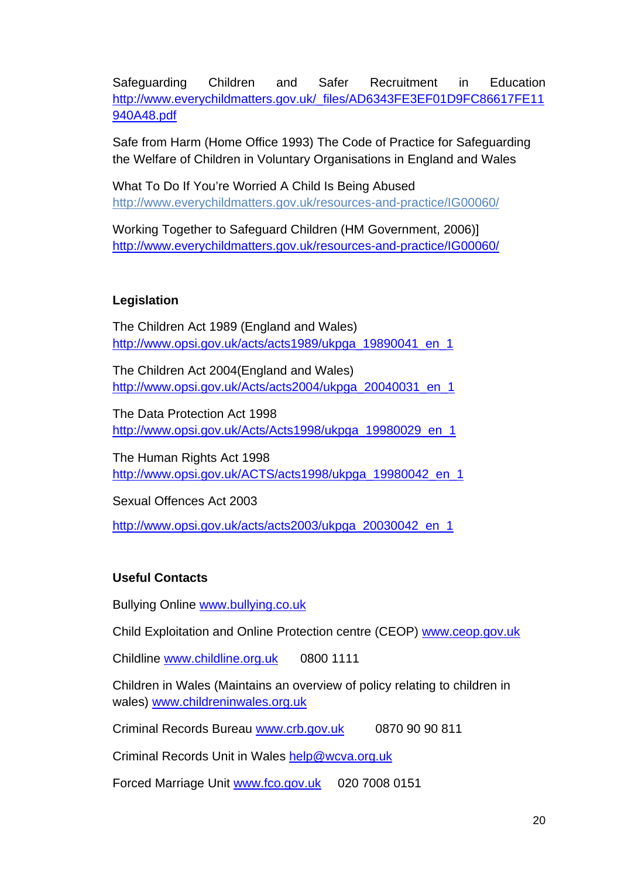Safeguarding Children and Safer Recruitment in Education [http://www.everychildmatters.gov.uk/\\_files/AD6343FE3EF01D9FC86617FE11](http://www.everychildmatters.gov.uk/_files/AD6343FE3EF01D9FC86617FE11940A48.pdf) [940A48.pdf](http://www.everychildmatters.gov.uk/_files/AD6343FE3EF01D9FC86617FE11940A48.pdf)

Safe from Harm (Home Office 1993) The Code of Practice for Safeguarding the Welfare of Children in Voluntary Organisations in England and Wales

What To Do If You're Worried A Child Is Being Abused <http://www.everychildmatters.gov.uk/resources-and-practice/IG00060/>

Working Together to Safeguard Children (HM Government, 2006)] <http://www.everychildmatters.gov.uk/resources-and-practice/IG00060/>

## **Legislation**

 The Children Act 1989 (England and Wales) http://www.opsi.gov.uk/acts/acts1989/ukpga\_19890041\_en\_1

 The Children Act 2004(England and Wales) [http://www.opsi.gov.uk/Acts/acts2004/ukpga\\_20040031\\_en\\_1](http://www.opsi.gov.uk/Acts/acts2004/ukpga_20040031_en_1)

 The Data Protection Act 1998 [http://www.opsi.gov.uk/Acts/Acts1998/ukpga\\_19980029\\_en\\_1](http://www.opsi.gov.uk/Acts/Acts1998/ukpga_19980029_en_1)

 The Human Rights Act 1998 http://www.opsi.gov.uk/ACTS/acts1998/ukpga\_19980042\_en\_1

Sexual Offences Act 2003

http://www.opsi.gov.uk/acts/acts2003/ukpga\_20030042\_en\_1

## **Useful Contacts**

Bullying Online [www.bullying.co.uk](http://www.bullying.co.uk/)

Child Exploitation and Online Protection centre (CEOP) [www.ceop.gov.uk](http://www.ceop.gov.uk/) 

Childline [www.childline.org.uk](http://www.childline.org.uk/) 0800 1111

 Children in Wales (Maintains an overview of policy relating to children in wales) [www.childreninwales.org.uk](http://www.childreninwales.org.uk/)

Criminal Records Bureau [www.crb.gov.uk](http://www.crb.gov.uk/) 0870 90 90 811

Criminal Records Unit in Wales [help@wcva.org.uk](mailto:help@wcva.org.uk)

Forced Marriage Unit [www.fco.gov.uk](http://www.fco.gov.uk/) 020 7008 0151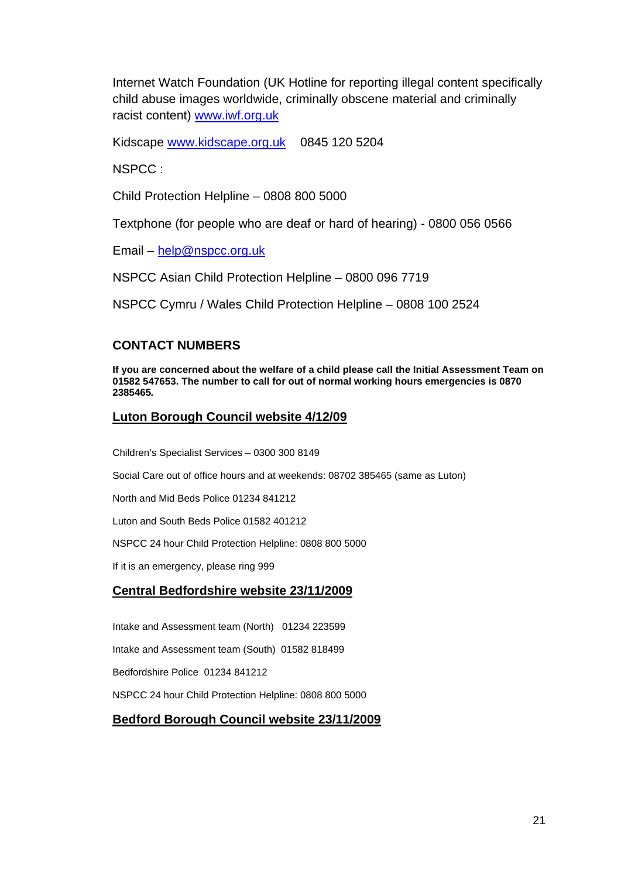Internet Watch Foundation (UK Hotline for reporting illegal content specifically child abuse images worldwide, criminally obscene material and criminally racist content) [www.iwf.org.uk](http://www.iwf.org.uk/)

Kidscape [www.kidscape.org.uk](http://www.kidscape.org.uk/) 0845 120 5204

NSPCC :

Child Protection Helpline – 0808 800 5000

Textphone (for people who are deaf or hard of hearing) - 0800 056 0566

Email – [help@nspcc.org.uk](mailto:help@nspcc.org.uk)

NSPCC Asian Child Protection Helpline – 0800 096 7719

NSPCC Cymru / Wales Child Protection Helpline – 0808 100 2524

## **CONTACT NUMBERS**

**If you are concerned about the welfare of a child please call the Initial Assessment Team on 01582 547653. The number to call for out of normal working hours emergencies is 0870 2385465***.* 

#### **Luton Borough Council website 4/12/09**

Children's Specialist Services – 0300 300 8149

Social Care out of office hours and at weekends: 08702 385465 (same as Luton)

North and Mid Beds Police 01234 841212

Luton and South Beds Police 01582 401212

NSPCC 24 hour Child Protection Helpline: 0808 800 5000

If it is an emergency, please ring 999

## **Central Bedfordshire website 23/11/2009**

Intake and Assessment team (North) 01234 223599

Intake and Assessment team (South) 01582 818499

Bedfordshire Police 01234 841212

NSPCC 24 hour Child Protection Helpline: 0808 800 5000

## **Bedford Borough Council website 23/11/2009**